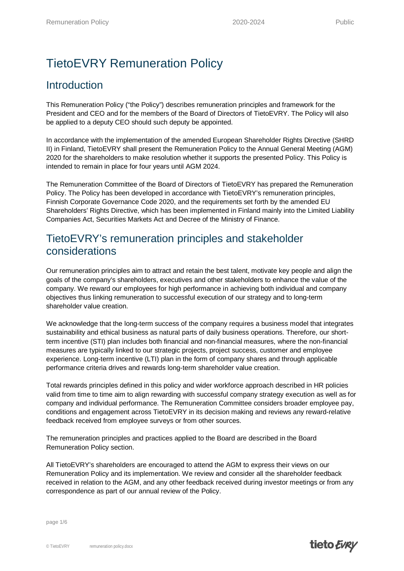# TietoEVRY Remuneration Policy

#### **Introduction**

This Remuneration Policy ("the Policy") describes remuneration principles and framework for the President and CEO and for the members of the Board of Directors of TietoEVRY. The Policy will also be applied to a deputy CEO should such deputy be appointed.

In accordance with the implementation of the amended European Shareholder Rights Directive (SHRD II) in Finland, TietoEVRY shall present the Remuneration Policy to the Annual General Meeting (AGM) 2020 for the shareholders to make resolution whether it supports the presented Policy. This Policy is intended to remain in place for four years until AGM 2024.

The Remuneration Committee of the Board of Directors of TietoEVRY has prepared the Remuneration Policy. The Policy has been developed in accordance with TietoEVRY's remuneration principles, Finnish Corporate Governance Code 2020, and the requirements set forth by the amended EU Shareholders' Rights Directive, which has been implemented in Finland mainly into the Limited Liability Companies Act, Securities Markets Act and Decree of the Ministry of Finance.

#### TietoEVRY's remuneration principles and stakeholder considerations

Our remuneration principles aim to attract and retain the best talent, motivate key people and align the goals of the company's shareholders, executives and other stakeholders to enhance the value of the company. We reward our employees for high performance in achieving both individual and company objectives thus linking remuneration to successful execution of our strategy and to long-term shareholder value creation.

We acknowledge that the long-term success of the company requires a business model that integrates sustainability and ethical business as natural parts of daily business operations. Therefore, our shortterm incentive (STI) plan includes both financial and non-financial measures, where the non-financial measures are typically linked to our strategic projects, project success, customer and employee experience. Long-term incentive (LTI) plan in the form of company shares and through applicable performance criteria drives and rewards long-term shareholder value creation.

Total rewards principles defined in this policy and wider workforce approach described in HR policies valid from time to time aim to align rewarding with successful company strategy execution as well as for company and individual performance. The Remuneration Committee considers broader employee pay, conditions and engagement across TietoEVRY in its decision making and reviews any reward-relative feedback received from employee surveys or from other sources.

The remuneration principles and practices applied to the Board are described in the Board Remuneration Policy section.

All TietoEVRY's shareholders are encouraged to attend the AGM to express their views on our Remuneration Policy and its implementation. We review and consider all the shareholder feedback received in relation to the AGM, and any other feedback received during investor meetings or from any correspondence as part of our annual review of the Policy.

page 1/6

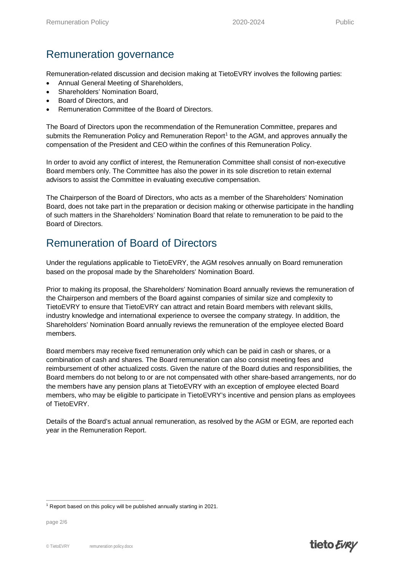# Remuneration governance

Remuneration-related discussion and decision making at TietoEVRY involves the following parties:

- x Annual General Meeting of Shareholders,
- Shareholders' Nomination Board,
- Board of Directors, and
- Remuneration Committee of the Board of Directors.

The Board of Directors upon the recommendation of the Remuneration Committee, prepares and submits the Remuneration Policy and Remuneration Report<sup>1</sup> to the AGM, and approves annually the compensation of the President and CEO within the confines of this Remuneration Policy.

In order to avoid any conflict of interest, the Remuneration Committee shall consist of non-executive Board members only. The Committee has also the power in its sole discretion to retain external advisors to assist the Committee in evaluating executive compensation.

The Chairperson of the Board of Directors, who acts as a member of the Shareholders' Nomination Board, does not take part in the preparation or decision making or otherwise participate in the handling of such matters in the Shareholders' Nomination Board that relate to remuneration to be paid to the Board of Directors.

# Remuneration of Board of Directors

Under the regulations applicable to TietoEVRY, the AGM resolves annually on Board remuneration based on the proposal made by the Shareholders' Nomination Board.

Prior to making its proposal, the Shareholders' Nomination Board annually reviews the remuneration of the Chairperson and members of the Board against companies of similar size and complexity to TietoEVRY to ensure that TietoEVRY can attract and retain Board members with relevant skills, industry knowledge and international experience to oversee the company strategy. In addition, the Shareholders' Nomination Board annually reviews the remuneration of the employee elected Board members.

Board members may receive fixed remuneration only which can be paid in cash or shares, or a combination of cash and shares. The Board remuneration can also consist meeting fees and reimbursement of other actualized costs. Given the nature of the Board duties and responsibilities, the Board members do not belong to or are not compensated with other share-based arrangements, nor do the members have any pension plans at TietoEVRY with an exception of employee elected Board members, who may be eligible to participate in TietoEVRY's incentive and pension plans as employees of TietoEVRY.

Details of the Board's actual annual remuneration, as resolved by the AGM or EGM, are reported each year in the Remuneration Report.

 $1$  Report based on this policy will be published annually starting in 2021.

page 2/6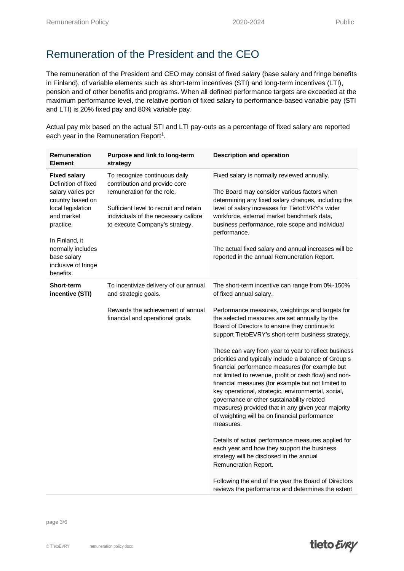# Remuneration of the President and the CEO

The remuneration of the President and CEO may consist of fixed salary (base salary and fringe benefits in Finland), of variable elements such as short-term incentives (STI) and long-term incentives (LTI), pension and of other benefits and programs. When all defined performance targets are exceeded at the maximum performance level, the relative portion of fixed salary to performance-based variable pay (STI and LTI) is 20% fixed pay and 80% variable pay.

Actual pay mix based on the actual STI and LTI pay-outs as a percentage of fixed salary are reported each year in the Remuneration Report<sup>1</sup>.

| Remuneration<br><b>Element</b>                                                                                                                                                                                                | Purpose and link to long-term<br>strategy                                                                                                                                                                        | <b>Description and operation</b>                                                                                                                                                                                                                                                                                                                                                                                                                                                                                                                                                                                                                                                                                                                                                                                                                                                                                                                                                                                                                                                       |
|-------------------------------------------------------------------------------------------------------------------------------------------------------------------------------------------------------------------------------|------------------------------------------------------------------------------------------------------------------------------------------------------------------------------------------------------------------|----------------------------------------------------------------------------------------------------------------------------------------------------------------------------------------------------------------------------------------------------------------------------------------------------------------------------------------------------------------------------------------------------------------------------------------------------------------------------------------------------------------------------------------------------------------------------------------------------------------------------------------------------------------------------------------------------------------------------------------------------------------------------------------------------------------------------------------------------------------------------------------------------------------------------------------------------------------------------------------------------------------------------------------------------------------------------------------|
| <b>Fixed salary</b><br>Definition of fixed<br>salary varies per<br>country based on<br>local legislation<br>and market<br>practice.<br>In Finland, it<br>normally includes<br>base salary<br>inclusive of fringe<br>benefits. | To recognize continuous daily<br>contribution and provide core<br>remuneration for the role.<br>Sufficient level to recruit and retain<br>individuals of the necessary calibre<br>to execute Company's strategy. | Fixed salary is normally reviewed annually.<br>The Board may consider various factors when<br>determining any fixed salary changes, including the<br>level of salary increases for TietoEVRY's wider<br>workforce, external market benchmark data,<br>business performance, role scope and individual<br>performance.<br>The actual fixed salary and annual increases will be<br>reported in the annual Remuneration Report.                                                                                                                                                                                                                                                                                                                                                                                                                                                                                                                                                                                                                                                           |
| Short-term<br>incentive (STI)                                                                                                                                                                                                 | To incentivize delivery of our annual<br>and strategic goals.<br>Rewards the achievement of annual<br>financial and operational goals.                                                                           | The short-term incentive can range from 0%-150%<br>of fixed annual salary.<br>Performance measures, weightings and targets for<br>the selected measures are set annually by the<br>Board of Directors to ensure they continue to<br>support TietoEVRY's short-term business strategy.<br>These can vary from year to year to reflect business<br>priorities and typically include a balance of Group's<br>financial performance measures (for example but<br>not limited to revenue, profit or cash flow) and non-<br>financial measures (for example but not limited to<br>key operational, strategic, environmental, social,<br>governance or other sustainability related<br>measures) provided that in any given year majority<br>of weighting will be on financial performance<br>measures.<br>Details of actual performance measures applied for<br>each year and how they support the business<br>strategy will be disclosed in the annual<br>Remuneration Report.<br>Following the end of the year the Board of Directors<br>reviews the performance and determines the extent |

page 3/6

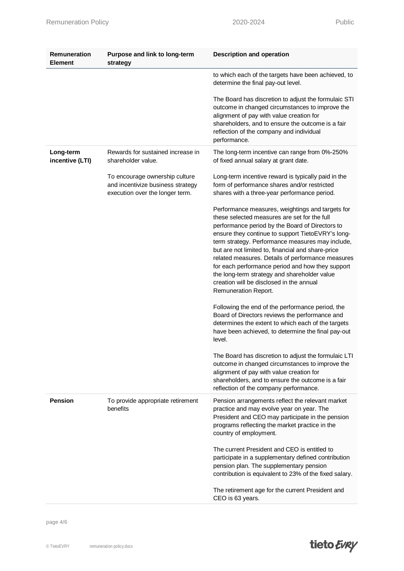| <b>Remuneration</b><br><b>Element</b> | Purpose and link to long-term<br>strategy                                                              | <b>Description and operation</b>                                                                                                                                                                                                                                                                                                                                                                                                                                                                                                               |
|---------------------------------------|--------------------------------------------------------------------------------------------------------|------------------------------------------------------------------------------------------------------------------------------------------------------------------------------------------------------------------------------------------------------------------------------------------------------------------------------------------------------------------------------------------------------------------------------------------------------------------------------------------------------------------------------------------------|
|                                       |                                                                                                        | to which each of the targets have been achieved, to<br>determine the final pay-out level.                                                                                                                                                                                                                                                                                                                                                                                                                                                      |
|                                       |                                                                                                        | The Board has discretion to adjust the formulaic STI<br>outcome in changed circumstances to improve the<br>alignment of pay with value creation for<br>shareholders, and to ensure the outcome is a fair<br>reflection of the company and individual<br>performance.                                                                                                                                                                                                                                                                           |
| Long-term<br>incentive (LTI)          | Rewards for sustained increase in<br>shareholder value.                                                | The long-term incentive can range from 0%-250%<br>of fixed annual salary at grant date.                                                                                                                                                                                                                                                                                                                                                                                                                                                        |
|                                       | To encourage ownership culture<br>and incentivize business strategy<br>execution over the longer term. | Long-term incentive reward is typically paid in the<br>form of performance shares and/or restricted<br>shares with a three-year performance period.                                                                                                                                                                                                                                                                                                                                                                                            |
|                                       |                                                                                                        | Performance measures, weightings and targets for<br>these selected measures are set for the full<br>performance period by the Board of Directors to<br>ensure they continue to support TietoEVRY's long-<br>term strategy. Performance measures may include,<br>but are not limited to, financial and share-price<br>related measures. Details of performance measures<br>for each performance period and how they support<br>the long-term strategy and shareholder value<br>creation will be disclosed in the annual<br>Remuneration Report. |
|                                       |                                                                                                        | Following the end of the performance period, the<br>Board of Directors reviews the performance and<br>determines the extent to which each of the targets<br>have been achieved, to determine the final pay-out<br>level.                                                                                                                                                                                                                                                                                                                       |
|                                       |                                                                                                        | The Board has discretion to adjust the formulaic LTI<br>outcome in changed circumstances to improve the<br>alignment of pay with value creation for<br>shareholders, and to ensure the outcome is a fair<br>reflection of the company performance.                                                                                                                                                                                                                                                                                             |
| <b>Pension</b>                        | To provide appropriate retirement<br>benefits                                                          | Pension arrangements reflect the relevant market<br>practice and may evolve year on year. The<br>President and CEO may participate in the pension<br>programs reflecting the market practice in the<br>country of employment.                                                                                                                                                                                                                                                                                                                  |
|                                       |                                                                                                        | The current President and CEO is entitled to<br>participate in a supplementary defined contribution<br>pension plan. The supplementary pension<br>contribution is equivalent to 23% of the fixed salary.                                                                                                                                                                                                                                                                                                                                       |
|                                       |                                                                                                        | The retirement age for the current President and<br>CEO is 63 years.                                                                                                                                                                                                                                                                                                                                                                                                                                                                           |

page 4/6

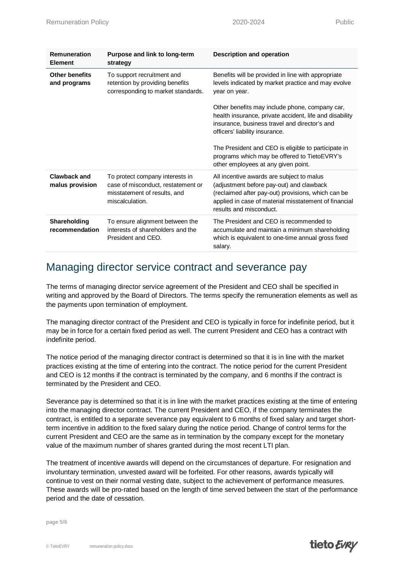| <b>Remuneration</b><br><b>Element</b>  | Purpose and link to long-term<br>strategy                                                                                | Description and operation                                                                                                                                                                                                                           |
|----------------------------------------|--------------------------------------------------------------------------------------------------------------------------|-----------------------------------------------------------------------------------------------------------------------------------------------------------------------------------------------------------------------------------------------------|
| <b>Other benefits</b><br>and programs  | To support recruitment and<br>retention by providing benefits<br>corresponding to market standards.                      | Benefits will be provided in line with appropriate<br>levels indicated by market practice and may evolve<br>year on year.                                                                                                                           |
|                                        |                                                                                                                          | Other benefits may include phone, company car,<br>health insurance, private accident, life and disability<br>insurance, business travel and director's and<br>officers' liability insurance.<br>The President and CEO is eligible to participate in |
|                                        |                                                                                                                          | programs which may be offered to TietoEVRY's<br>other employees at any given point.                                                                                                                                                                 |
| <b>Clawback and</b><br>malus provision | To protect company interests in<br>case of misconduct, restatement or<br>misstatement of results, and<br>miscalculation. | All incentive awards are subject to malus<br>(adjustment before pay-out) and clawback<br>(reclaimed after pay-out) provisions, which can be<br>applied in case of material misstatement of financial<br>results and misconduct.                     |
| Shareholding<br>recommendation         | To ensure alignment between the<br>interests of shareholders and the<br>President and CEO.                               | The President and CEO is recommended to<br>accumulate and maintain a minimum shareholding<br>which is equivalent to one-time annual gross fixed<br>salary.                                                                                          |

#### Managing director service contract and severance pay

The terms of managing director service agreement of the President and CEO shall be specified in writing and approved by the Board of Directors. The terms specify the remuneration elements as well as the payments upon termination of employment.

The managing director contract of the President and CEO is typically in force for indefinite period, but it may be in force for a certain fixed period as well. The current President and CEO has a contract with indefinite period.

The notice period of the managing director contract is determined so that it is in line with the market practices existing at the time of entering into the contract. The notice period for the current President and CEO is 12 months if the contract is terminated by the company, and 6 months if the contract is terminated by the President and CEO.

Severance pay is determined so that it is in line with the market practices existing at the time of entering into the managing director contract. The current President and CEO, if the company terminates the contract, is entitled to a separate severance pay equivalent to 6 months of fixed salary and target shortterm incentive in addition to the fixed salary during the notice period. Change of control terms for the current President and CEO are the same as in termination by the company except for the monetary value of the maximum number of shares granted during the most recent LTI plan.

The treatment of incentive awards will depend on the circumstances of departure. For resignation and involuntary termination, unvested award will be forfeited. For other reasons, awards typically will continue to vest on their normal vesting date, subject to the achievement of performance measures. These awards will be pro-rated based on the length of time served between the start of the performance period and the date of cessation.

page 5/6